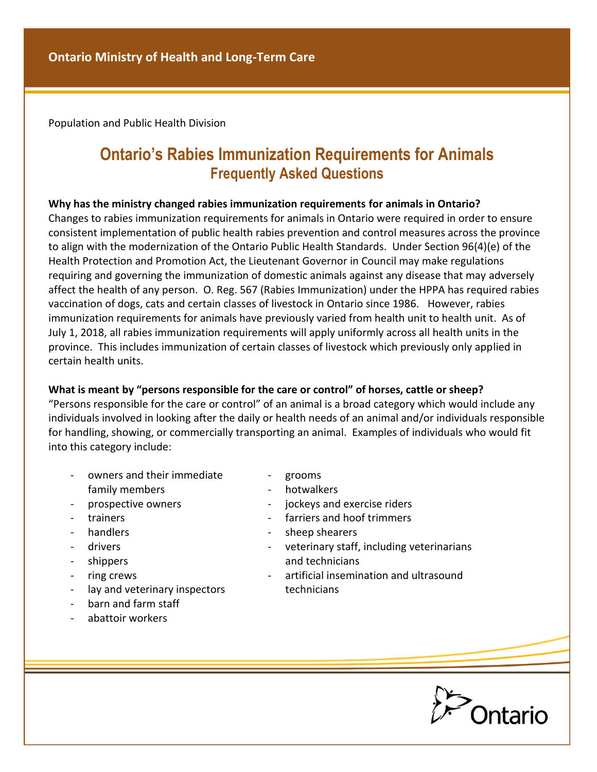Population and Public Health Division

# **Ontario's Rabies Immunization Requirements for Animals Frequently Asked Questions**

#### **Why has the ministry changed rabies immunization requirements for animals in Ontario?**

Changes to rabies immunization requirements for animals in Ontario were required in order to ensure consistent implementation of public health rabies prevention and control measures across the province to align with the modernization of the Ontario Public Health Standards. Under Section 96(4)(e) of the Health Protection and Promotion Act, the Lieutenant Governor in Council may make regulations requiring and governing the immunization of domestic animals against any disease that may adversely affect the health of any person. O. Reg. 567 (Rabies Immunization) under the HPPA has required rabies vaccination of dogs, cats and certain classes of livestock in Ontario since 1986. However, rabies immunization requirements for animals have previously varied from health unit to health unit. As of July 1, 2018, all rabies immunization requirements will apply uniformly across all health units in the province. This includes immunization of certain classes of livestock which previously only applied in certain health units.

#### **What is meant by "persons responsible for the care or control" of horses, cattle or sheep?**

"Persons responsible for the care or control" of an animal is a broad category which would include any individuals involved in looking after the daily or health needs of an animal and/or individuals responsible for handling, showing, or commercially transporting an animal. Examples of individuals who would fit into this category include:

- owners and their immediate family members
- prospective owners
- trainers
- handlers
- drivers
- shippers
- ring crews
- lay and veterinary inspectors
- barn and farm staff
- abattoir workers
- grooms
- hotwalkers
- jockeys and exercise riders
- farriers and hoof trimmers
- sheep shearers
- veterinary staff, including veterinarians and technicians
- artificial insemination and ultrasound technicians

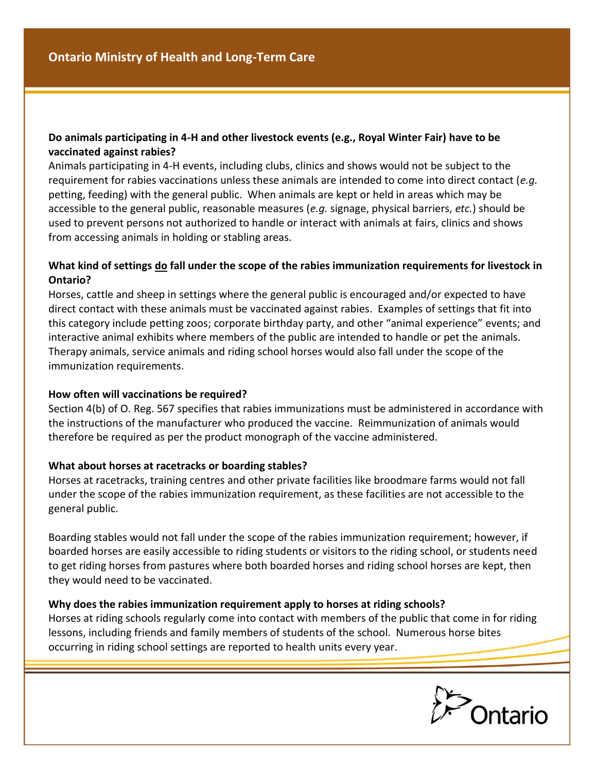# **Do animals participating in 4-H and other livestock events (e.g., Royal Winter Fair) have to be vaccinated against rabies?**

Animals participating in 4-H events, including clubs, clinics and shows would not be subject to the requirement for rabies vaccinations unless these animals are intended to come into direct contact (*e.g.* petting, feeding) with the general public. When animals are kept or held in areas which may be accessible to the general public, reasonable measures (*e.g.* signage, physical barriers, *etc.*) should be used to prevent persons not authorized to handle or interact with animals at fairs, clinics and shows from accessing animals in holding or stabling areas.

## **What kind of settings do fall under the scope of the rabies immunization requirements for livestock in Ontario?**

Horses, cattle and sheep in settings where the general public is encouraged and/or expected to have direct contact with these animals must be vaccinated against rabies. Examples of settings that fit into this category include petting zoos; corporate birthday party, and other "animal experience" events; and interactive animal exhibits where members of the public are intended to handle or pet the animals. Therapy animals, service animals and riding school horses would also fall under the scope of the immunization requirements.

## **How often will vaccinations be required?**

Section 4(b) of O. Reg. 567 specifies that rabies immunizations must be administered in accordance with the instructions of the manufacturer who produced the vaccine. Reimmunization of animals would therefore be required as per the product monograph of the vaccine administered.

## **What about horses at racetracks or boarding stables?**

Horses at racetracks, training centres and other private facilities like broodmare farms would not fall under the scope of the rabies immunization requirement, as these facilities are not accessible to the general public.

Boarding stables would not fall under the scope of the rabies immunization requirement; however, if boarded horses are easily accessible to riding students or visitors to the riding school, or students need to get riding horses from pastures where both boarded horses and riding school horses are kept, then they would need to be vaccinated.

## **Why does the rabies immunization requirement apply to horses at riding schools?**

Horses at riding schools regularly come into contact with members of the public that come in for riding lessons, including friends and family members of students of the school. Numerous horse bites occurring in riding school settings are reported to health units every year.

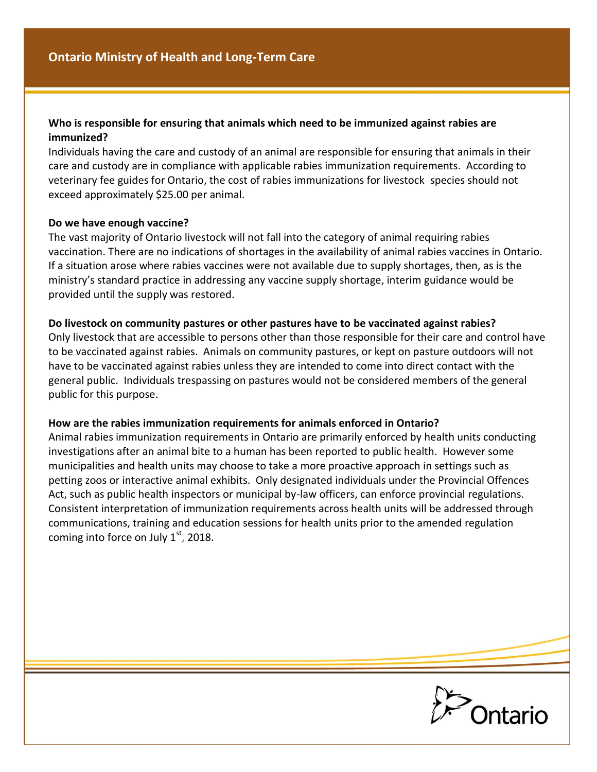#### **Who is responsible for ensuring that animals which need to be immunized against rabies are immunized?**

Individuals having the care and custody of an animal are responsible for ensuring that animals in their care and custody are in compliance with applicable rabies immunization requirements. According to veterinary fee guides for Ontario, the cost of rabies immunizations for livestock species should not exceed approximately \$25.00 per animal.

#### **Do we have enough vaccine?**

The vast majority of Ontario livestock will not fall into the category of animal requiring rabies vaccination. There are no indications of shortages in the availability of animal rabies vaccines in Ontario. If a situation arose where rabies vaccines were not available due to supply shortages, then, as is the ministry's standard practice in addressing any vaccine supply shortage, interim guidance would be provided until the supply was restored.

#### **Do livestock on community pastures or other pastures have to be vaccinated against rabies?**

Only livestock that are accessible to persons other than those responsible for their care and control have to be vaccinated against rabies. Animals on community pastures, or kept on pasture outdoors will not have to be vaccinated against rabies unless they are intended to come into direct contact with the general public. Individuals trespassing on pastures would not be considered members of the general public for this purpose.

#### **How are the rabies immunization requirements for animals enforced in Ontario?**

Animal rabies immunization requirements in Ontario are primarily enforced by health units conducting investigations after an animal bite to a human has been reported to public health. However some municipalities and health units may choose to take a more proactive approach in settings such as petting zoos or interactive animal exhibits. Only designated individuals under the Provincial Offences Act, such as public health inspectors or municipal by-law officers, can enforce provincial regulations. Consistent interpretation of immunization requirements across health units will be addressed through communications, training and education sessions for health units prior to the amended regulation coming into force on July  $1<sup>st</sup>$ , 2018.